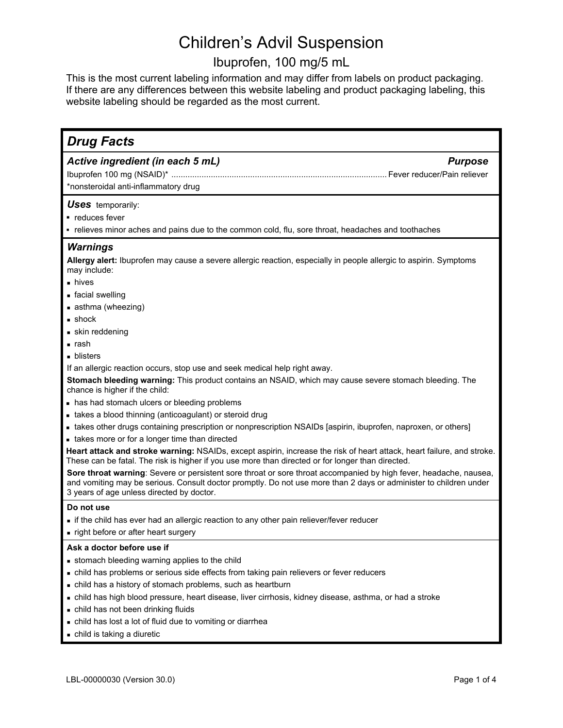# Ibuprofen, 100 mg/5 mL

This is the most current labeling information and may differ from labels on product packaging. If there are any differences between this website labeling and product packaging labeling, this website labeling should be regarded as the most current.

| <b>Drug Facts</b>                                                                                                                                                                                                                                                                   |
|-------------------------------------------------------------------------------------------------------------------------------------------------------------------------------------------------------------------------------------------------------------------------------------|
| Active ingredient (in each 5 mL)<br><b>Purpose</b>                                                                                                                                                                                                                                  |
|                                                                                                                                                                                                                                                                                     |
| *nonsteroidal anti-inflammatory drug                                                                                                                                                                                                                                                |
|                                                                                                                                                                                                                                                                                     |
| <b>Uses</b> temporarily:                                                                                                                                                                                                                                                            |
| • reduces fever                                                                                                                                                                                                                                                                     |
| - relieves minor aches and pains due to the common cold, flu, sore throat, headaches and toothaches                                                                                                                                                                                 |
| <b>Warnings</b>                                                                                                                                                                                                                                                                     |
| Allergy alert: Ibuprofen may cause a severe allergic reaction, especially in people allergic to aspirin. Symptoms<br>may include:                                                                                                                                                   |
| $\blacksquare$ hives                                                                                                                                                                                                                                                                |
| ■ facial swelling                                                                                                                                                                                                                                                                   |
| asthma (wheezing)                                                                                                                                                                                                                                                                   |
| $\blacksquare$ shock                                                                                                                                                                                                                                                                |
| • skin reddening                                                                                                                                                                                                                                                                    |
| ∎ rash                                                                                                                                                                                                                                                                              |
| • blisters                                                                                                                                                                                                                                                                          |
| If an allergic reaction occurs, stop use and seek medical help right away.                                                                                                                                                                                                          |
| Stomach bleeding warning: This product contains an NSAID, which may cause severe stomach bleeding. The<br>chance is higher if the child:                                                                                                                                            |
| • has had stomach ulcers or bleeding problems                                                                                                                                                                                                                                       |
| • takes a blood thinning (anticoagulant) or steroid drug                                                                                                                                                                                                                            |
| • takes other drugs containing prescription or nonprescription NSAIDs [aspirin, ibuprofen, naproxen, or others]                                                                                                                                                                     |
| • takes more or for a longer time than directed                                                                                                                                                                                                                                     |
| Heart attack and stroke warning: NSAIDs, except aspirin, increase the risk of heart attack, heart failure, and stroke.<br>These can be fatal. The risk is higher if you use more than directed or for longer than directed.                                                         |
| Sore throat warning: Severe or persistent sore throat or sore throat accompanied by high fever, headache, nausea,<br>and vomiting may be serious. Consult doctor promptly. Do not use more than 2 days or administer to children under<br>3 years of age unless directed by doctor. |
| Do not use                                                                                                                                                                                                                                                                          |
| if the child has ever had an allergic reaction to any other pain reliever/fever reducer                                                                                                                                                                                             |
| . right before or after heart surgery                                                                                                                                                                                                                                               |
| Ask a doctor before use if                                                                                                                                                                                                                                                          |
| stomach bleeding warning applies to the child                                                                                                                                                                                                                                       |
| . child has problems or serious side effects from taking pain relievers or fever reducers                                                                                                                                                                                           |
| . child has a history of stomach problems, such as heartburn                                                                                                                                                                                                                        |
| . child has high blood pressure, heart disease, liver cirrhosis, kidney disease, asthma, or had a stroke                                                                                                                                                                            |
| - child has not been drinking fluids                                                                                                                                                                                                                                                |
| . child has lost a lot of fluid due to vomiting or diarrhea                                                                                                                                                                                                                         |
| • child is taking a diuretic                                                                                                                                                                                                                                                        |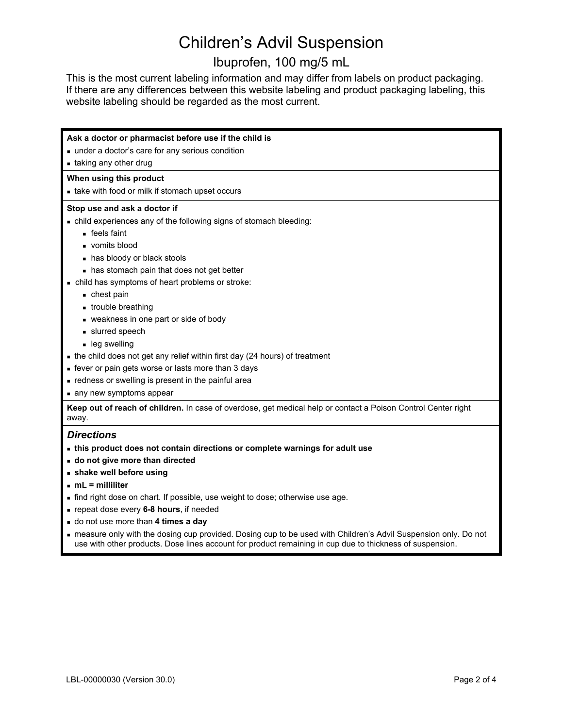# Ibuprofen, 100 mg/5 mL

This is the most current labeling information and may differ from labels on product packaging. If there are any differences between this website labeling and product packaging labeling, this website labeling should be regarded as the most current.

| Ask a doctor or pharmacist before use if the child is                                                                                                                                                                        |
|------------------------------------------------------------------------------------------------------------------------------------------------------------------------------------------------------------------------------|
| under a doctor's care for any serious condition                                                                                                                                                                              |
| • taking any other drug                                                                                                                                                                                                      |
| When using this product                                                                                                                                                                                                      |
| • take with food or milk if stomach upset occurs                                                                                                                                                                             |
| Stop use and ask a doctor if                                                                                                                                                                                                 |
| . child experiences any of the following signs of stomach bleeding:                                                                                                                                                          |
| $\blacksquare$ feels faint                                                                                                                                                                                                   |
| vomits blood                                                                                                                                                                                                                 |
| • has bloody or black stools                                                                                                                                                                                                 |
| • has stomach pain that does not get better                                                                                                                                                                                  |
| - child has symptoms of heart problems or stroke:                                                                                                                                                                            |
| ■ chest pain                                                                                                                                                                                                                 |
| • trouble breathing                                                                                                                                                                                                          |
| veakness in one part or side of body                                                                                                                                                                                         |
| slurred speech                                                                                                                                                                                                               |
| • leg swelling                                                                                                                                                                                                               |
| • the child does not get any relief within first day (24 hours) of treatment                                                                                                                                                 |
| • fever or pain gets worse or lasts more than 3 days                                                                                                                                                                         |
| - redness or swelling is present in the painful area                                                                                                                                                                         |
| any new symptoms appear                                                                                                                                                                                                      |
| Keep out of reach of children. In case of overdose, get medical help or contact a Poison Control Center right                                                                                                                |
| away.                                                                                                                                                                                                                        |
| <b>Directions</b>                                                                                                                                                                                                            |
| - this product does not contain directions or complete warnings for adult use                                                                                                                                                |
| • do not give more than directed                                                                                                                                                                                             |
| shake well before using                                                                                                                                                                                                      |
| $mL =$ milliliter                                                                                                                                                                                                            |
| • find right dose on chart. If possible, use weight to dose; otherwise use age.                                                                                                                                              |
| prepeat dose every 6-8 hours, if needed                                                                                                                                                                                      |
| - do not use more than 4 times a day                                                                                                                                                                                         |
| - measure only with the dosing cup provided. Dosing cup to be used with Children's Advil Suspension only. Do not<br>use with other products. Dose lines account for product remaining in cup due to thickness of suspension. |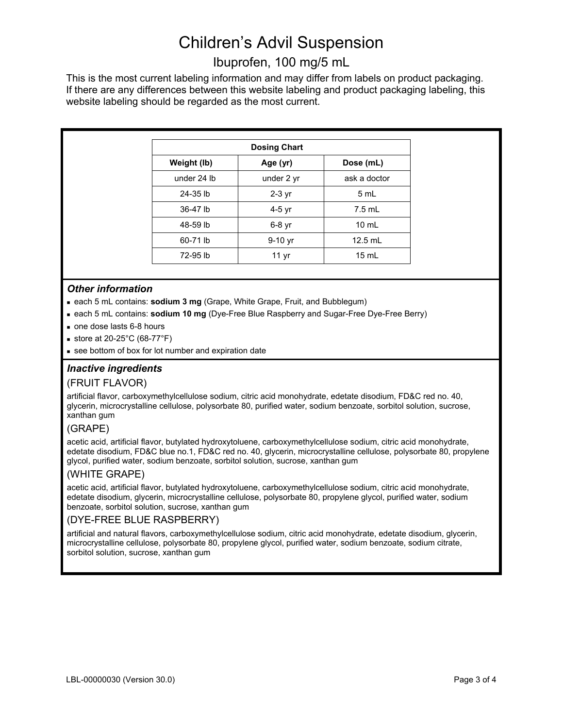# Ibuprofen, 100 mg/5 mL

This is the most current labeling information and may differ from labels on product packaging. If there are any differences between this website labeling and product packaging labeling, this website labeling should be regarded as the most current.

| <b>Dosing Chart</b> |                  |                 |  |
|---------------------|------------------|-----------------|--|
| Weight (lb)         | Age (yr)         | Dose (mL)       |  |
| under 24 lb         | under 2 yr       | ask a doctor    |  |
| 24-35 lb            | $2-3$ yr         | 5 mL            |  |
| 36-47 lb            | 4-5 yr           | $7.5$ mL        |  |
| 48-59 lb            | $6-8$ yr         | $10 \text{ ml}$ |  |
| 60-71 lb            | $9-10$ yr        | $12.5$ mL       |  |
| 72-95 lb            | 11 <sub>yr</sub> | $15 \text{ mL}$ |  |

## *Other information*

- each 5 mL contains: **sodium 3 mg** (Grape, White Grape, Fruit, and Bubblegum)
- each 5 mL contains: **sodium 10 mg** (Dye-Free Blue Raspberry and Sugar-Free Dye-Free Berry)
- one dose lasts 6-8 hours
- store at 20-25 $^{\circ}$ C (68-77 $^{\circ}$ F)
- see bottom of box for lot number and expiration date

## *Inactive ingredients*

#### (FRUIT FLAVOR)

artificial flavor, carboxymethylcellulose sodium, citric acid monohydrate, edetate disodium, FD&C red no. 40, glycerin, microcrystalline cellulose, polysorbate 80, purified water, sodium benzoate, sorbitol solution, sucrose, xanthan gum

## (GRAPE)

acetic acid, artificial flavor, butylated hydroxytoluene, carboxymethylcellulose sodium, citric acid monohydrate, edetate disodium, FD&C blue no.1, FD&C red no. 40, glycerin, microcrystalline cellulose, polysorbate 80, propylene glycol, purified water, sodium benzoate, sorbitol solution, sucrose, xanthan gum

## (WHITE GRAPE)

acetic acid, artificial flavor, butylated hydroxytoluene, carboxymethylcellulose sodium, citric acid monohydrate, edetate disodium, glycerin, microcrystalline cellulose, polysorbate 80, propylene glycol, purified water, sodium benzoate, sorbitol solution, sucrose, xanthan gum

## (DYE-FREE BLUE RASPBERRY)

artificial and natural flavors, carboxymethylcellulose sodium, citric acid monohydrate, edetate disodium, glycerin, microcrystalline cellulose, polysorbate 80, propylene glycol, purified water, sodium benzoate, sodium citrate, sorbitol solution, sucrose, xanthan gum